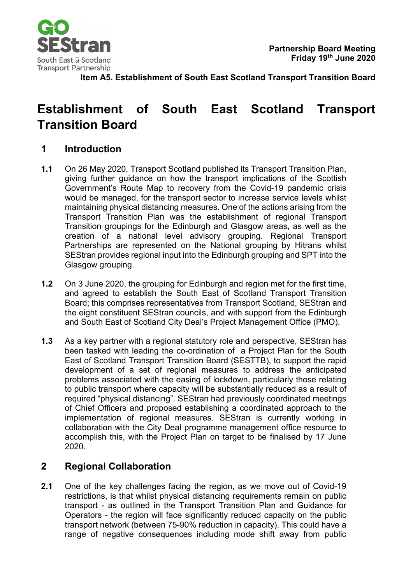

**Item A5. Establishment of South East Scotland Transport Transition Board**

## **Establishment of South East Scotland Transport Transition Board**

## **1 Introduction**

- **1.1** On 26 May 2020, Transport Scotland published its Transport Transition Plan, giving further guidance on how the transport implications of the Scottish Government's Route Map to recovery from the Covid-19 pandemic crisis would be managed, for the transport sector to increase service levels whilst maintaining physical distancing measures. One of the actions arising from the Transport Transition Plan was the establishment of regional Transport Transition groupings for the Edinburgh and Glasgow areas, as well as the creation of a national level advisory grouping. Regional Transport Partnerships are represented on the National grouping by Hitrans whilst SEStran provides regional input into the Edinburgh grouping and SPT into the Glasgow grouping.
- **1.2** On 3 June 2020, the grouping for Edinburgh and region met for the first time, and agreed to establish the South East of Scotland Transport Transition Board; this comprises representatives from Transport Scotland, SEStran and the eight constituent SEStran councils, and with support from the Edinburgh and South East of Scotland City Deal's Project Management Office (PMO).
- **1.3** As a key partner with a regional statutory role and perspective, SEStran has been tasked with leading the co-ordination of a Project Plan for the South East of Scotland Transport Transition Board (SESTTB), to support the rapid development of a set of regional measures to address the anticipated problems associated with the easing of lockdown, particularly those relating to public transport where capacity will be substantially reduced as a result of required "physical distancing". SEStran had previously coordinated meetings of Chief Officers and proposed establishing a coordinated approach to the implementation of regional measures. SEStran is currently working in collaboration with the City Deal programme management office resource to accomplish this, with the Project Plan on target to be finalised by 17 June 2020.

## **2 Regional Collaboration**

**2.1** One of the key challenges facing the region, as we move out of Covid-19 restrictions, is that whilst physical distancing requirements remain on public transport - as outlined in the Transport Transition Plan and Guidance for Operators - the region will face significantly reduced capacity on the public transport network (between 75-90% reduction in capacity). This could have a range of negative consequences including mode shift away from public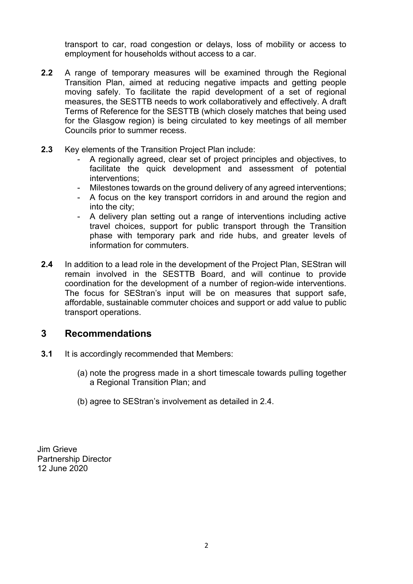transport to car, road congestion or delays, loss of mobility or access to employment for households without access to a car.

- **2.2** A range of temporary measures will be examined through the Regional Transition Plan, aimed at reducing negative impacts and getting people moving safely. To facilitate the rapid development of a set of regional measures, the SESTTB needs to work collaboratively and effectively. A draft Terms of Reference for the SESTTB (which closely matches that being used for the Glasgow region) is being circulated to key meetings of all member Councils prior to summer recess.
- **2.3** Key elements of the Transition Project Plan include:
	- A regionally agreed, clear set of project principles and objectives, to facilitate the quick development and assessment of potential interventions;
	- Milestones towards on the ground delivery of any agreed interventions;
	- A focus on the key transport corridors in and around the region and into the city;
	- A delivery plan setting out a range of interventions including active travel choices, support for public transport through the Transition phase with temporary park and ride hubs, and greater levels of information for commuters.
- **2.4** In addition to a lead role in the development of the Project Plan, SEStran will remain involved in the SESTTB Board, and will continue to provide coordination for the development of a number of region-wide interventions. The focus for SEStran's input will be on measures that support safe, affordable, sustainable commuter choices and support or add value to public transport operations.

## **3 Recommendations**

- **3.1** It is accordingly recommended that Members:
	- (a) note the progress made in a short timescale towards pulling together a Regional Transition Plan; and
	- (b) agree to SEStran's involvement as detailed in 2.4.

Jim Grieve Partnership Director 12 June 2020